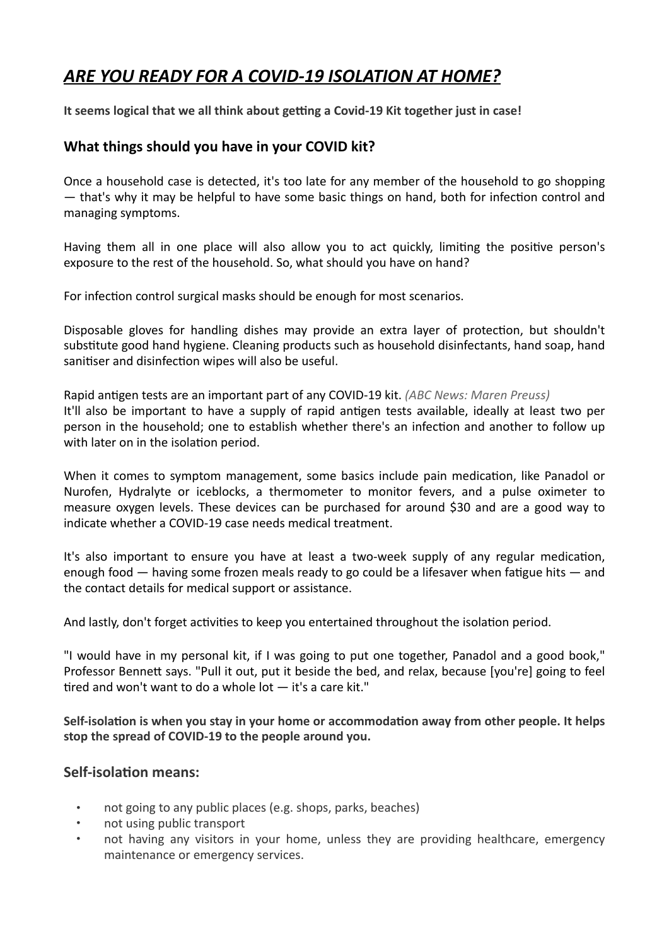# ARE YOU READY FOR A COVID-19 ISOLATION AT HOME?

It seems logical that we all think about getting a Covid-19 Kit together just in case!

# **What things should you have in your COVID kit?**

Once a household case is detected, it's too late for any member of the household to go shopping  $-$  that's why it may be helpful to have some basic things on hand, both for infection control and managing symptoms.

Having them all in one place will also allow you to act quickly, limiting the positive person's exposure to the rest of the household. So, what should you have on hand?

For infection control surgical masks should be enough for most scenarios.

Disposable gloves for handling dishes may provide an extra layer of protection, but shouldn't substitute good hand hygiene. Cleaning products such as household disinfectants, hand soap, hand sanitiser and disinfection wipes will also be useful.

Rapid antigen tests are an important part of any COVID-19 kit. *(ABC News: Maren Preuss)* It'll also be important to have a supply of rapid antigen tests available, ideally at least two per person in the household; one to establish whether there's an infection and another to follow up with later on in the isolation period.

When it comes to symptom management, some basics include pain medication, like Panadol or Nurofen, Hydralyte or iceblocks, a thermometer to monitor fevers, and a pulse oximeter to measure oxygen levels. These devices can be purchased for around \$30 and are a good way to indicate whether a COVID-19 case needs medical treatment.

It's also important to ensure you have at least a two-week supply of any regular medication, enough food  $-$  having some frozen meals ready to go could be a lifesaver when fatigue hits  $-$  and the contact details for medical support or assistance.

And lastly, don't forget activities to keep you entertained throughout the isolation period.

"I would have in my personal kit, if I was going to put one together, Panadol and a good book," Professor Bennett says. "Pull it out, put it beside the bed, and relax, because [you're] going to feel tired and won't want to do a whole  $\text{lot} - \text{it's a care kit."}$ 

Self-isolation is when you stay in your home or accommodation away from other people. It helps stop the spread of COVID-19 to the people around you.

## **Self-isolation means:**

- not going to any public places (e.g. shops, parks, beaches)
- not using public transport
- not having any visitors in your home, unless they are providing healthcare, emergency maintenance or emergency services.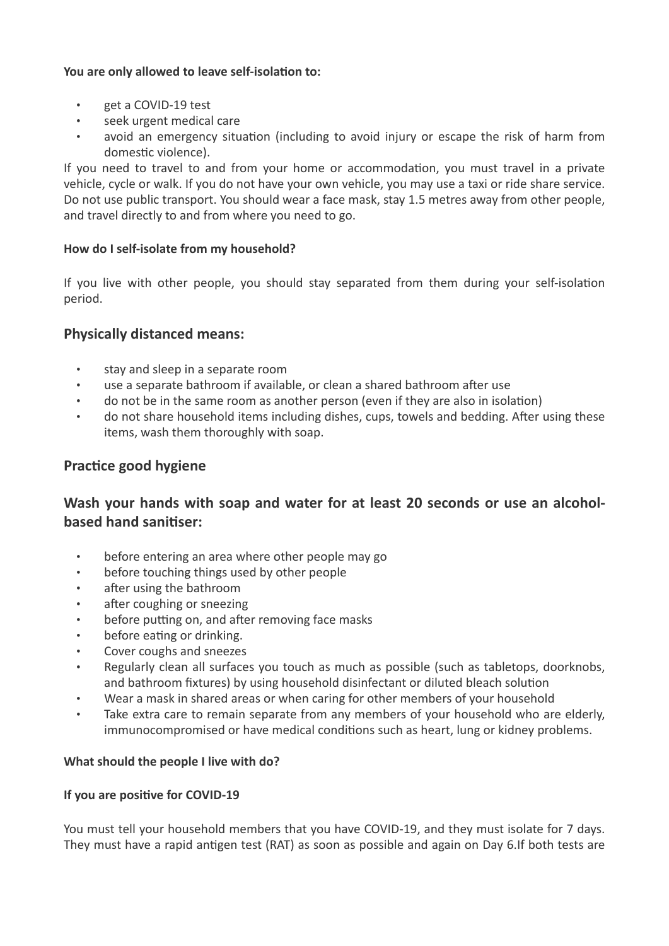## You are only allowed to leave self-isolation to:

- get a COVID-19 test
- seek urgent medical care
- avoid an emergency situation (including to avoid injury or escape the risk of harm from domestic violence).

If you need to travel to and from your home or accommodation, you must travel in a private vehicle, cycle or walk. If you do not have your own vehicle, you may use a taxi or ride share service. Do not use public transport. You should wear a face mask, stay 1.5 metres away from other people, and travel directly to and from where you need to go.

#### How do I self-isolate from my household?

If you live with other people, you should stay separated from them during your self-isolation period.

## **Physically distanced means:**

- stay and sleep in a separate room
- use a separate bathroom if available, or clean a shared bathroom after use
- do not be in the same room as another person (even if they are also in isolation)
- do not share household items including dishes, cups, towels and bedding. After using these items, wash them thoroughly with soap.

# **Practice good hygiene**

# Wash your hands with soap and water for at least 20 seconds or use an alcohol**based hand sanitiser:**

- before entering an area where other people may go
- before touching things used by other people
- after using the bathroom
- after coughing or sneezing
- before putting on, and after removing face masks
- before eating or drinking.
- Cover coughs and sneezes
- Regularly clean all surfaces you touch as much as possible (such as tabletops, doorknobs, and bathroom fixtures) by using household disinfectant or diluted bleach solution
- Wear a mask in shared areas or when caring for other members of your household
- Take extra care to remain separate from any members of your household who are elderly, immunocompromised or have medical conditions such as heart, lung or kidney problems.

#### **What should the people I live with do?**

#### **If you are positive for COVID-19**

You must tell your household members that you have COVID-19, and they must isolate for 7 days. They must have a rapid antigen test (RAT) as soon as possible and again on Day 6.If both tests are